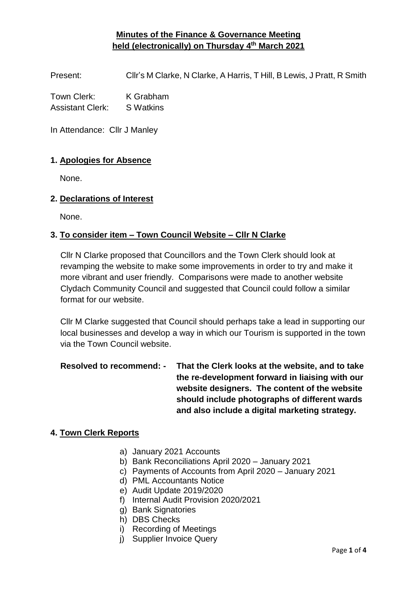## **Minutes of the Finance & Governance Meeting held (electronically) on Thursday 4 th March 2021**

Present: Cllr's M Clarke, N Clarke, A Harris, T Hill, B Lewis, J Pratt, R Smith

Town Clerk: K Grabham Assistant Clerk: S Watkins

In Attendance: Cllr J Manley

#### **1. Apologies for Absence**

None.

#### **2. Declarations of Interest**

None.

#### **3. To consider item – Town Council Website – Cllr N Clarke**

Cllr N Clarke proposed that Councillors and the Town Clerk should look at revamping the website to make some improvements in order to try and make it more vibrant and user friendly. Comparisons were made to another website Clydach Community Council and suggested that Council could follow a similar format for our website.

Cllr M Clarke suggested that Council should perhaps take a lead in supporting our local businesses and develop a way in which our Tourism is supported in the town via the Town Council website.

**Resolved to recommend: - That the Clerk looks at the website, and to take the re-development forward in liaising with our website designers. The content of the website should include photographs of different wards and also include a digital marketing strategy.**

#### **4. Town Clerk Reports**

- a) January 2021 Accounts
- b) Bank Reconciliations April 2020 January 2021
- c) Payments of Accounts from April 2020 January 2021
- d) PML Accountants Notice
- e) Audit Update 2019/2020
- f) Internal Audit Provision 2020/2021
- g) Bank Signatories
- h) DBS Checks
- i) Recording of Meetings
- j) Supplier Invoice Query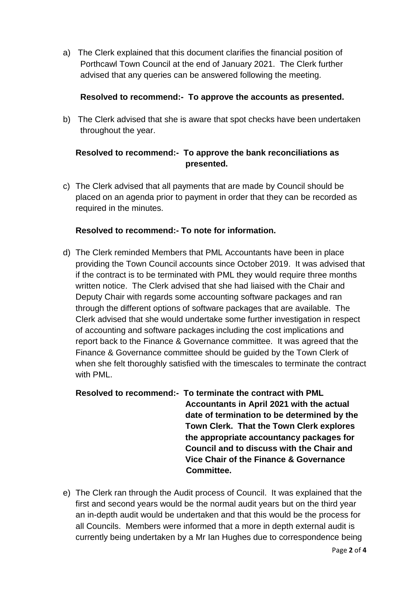a) The Clerk explained that this document clarifies the financial position of Porthcawl Town Council at the end of January 2021. The Clerk further advised that any queries can be answered following the meeting.

### **Resolved to recommend:- To approve the accounts as presented.**

b) The Clerk advised that she is aware that spot checks have been undertaken throughout the year.

## **Resolved to recommend:- To approve the bank reconciliations as presented.**

c) The Clerk advised that all payments that are made by Council should be placed on an agenda prior to payment in order that they can be recorded as required in the minutes.

### **Resolved to recommend:- To note for information.**

d) The Clerk reminded Members that PML Accountants have been in place providing the Town Council accounts since October 2019. It was advised that if the contract is to be terminated with PML they would require three months written notice. The Clerk advised that she had liaised with the Chair and Deputy Chair with regards some accounting software packages and ran through the different options of software packages that are available. The Clerk advised that she would undertake some further investigation in respect of accounting and software packages including the cost implications and report back to the Finance & Governance committee. It was agreed that the Finance & Governance committee should be guided by the Town Clerk of when she felt thoroughly satisfied with the timescales to terminate the contract with PML.

# **Resolved to recommend:- To terminate the contract with PML Accountants in April 2021 with the actual date of termination to be determined by the Town Clerk. That the Town Clerk explores the appropriate accountancy packages for Council and to discuss with the Chair and Vice Chair of the Finance & Governance Committee.**

e) The Clerk ran through the Audit process of Council. It was explained that the first and second years would be the normal audit years but on the third year an in-depth audit would be undertaken and that this would be the process for all Councils. Members were informed that a more in depth external audit is currently being undertaken by a Mr Ian Hughes due to correspondence being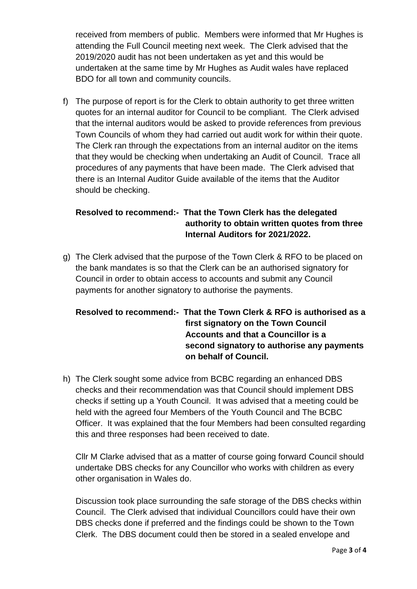received from members of public. Members were informed that Mr Hughes is attending the Full Council meeting next week. The Clerk advised that the 2019/2020 audit has not been undertaken as yet and this would be undertaken at the same time by Mr Hughes as Audit wales have replaced BDO for all town and community councils.

f) The purpose of report is for the Clerk to obtain authority to get three written quotes for an internal auditor for Council to be compliant. The Clerk advised that the internal auditors would be asked to provide references from previous Town Councils of whom they had carried out audit work for within their quote. The Clerk ran through the expectations from an internal auditor on the items that they would be checking when undertaking an Audit of Council. Trace all procedures of any payments that have been made. The Clerk advised that there is an Internal Auditor Guide available of the items that the Auditor should be checking.

# **Resolved to recommend:- That the Town Clerk has the delegated authority to obtain written quotes from three Internal Auditors for 2021/2022.**

g) The Clerk advised that the purpose of the Town Clerk & RFO to be placed on the bank mandates is so that the Clerk can be an authorised signatory for Council in order to obtain access to accounts and submit any Council payments for another signatory to authorise the payments.

# **Resolved to recommend:- That the Town Clerk & RFO is authorised as a first signatory on the Town Council Accounts and that a Councillor is a second signatory to authorise any payments on behalf of Council.**

h) The Clerk sought some advice from BCBC regarding an enhanced DBS checks and their recommendation was that Council should implement DBS checks if setting up a Youth Council. It was advised that a meeting could be held with the agreed four Members of the Youth Council and The BCBC Officer. It was explained that the four Members had been consulted regarding this and three responses had been received to date.

Cllr M Clarke advised that as a matter of course going forward Council should undertake DBS checks for any Councillor who works with children as every other organisation in Wales do.

Discussion took place surrounding the safe storage of the DBS checks within Council. The Clerk advised that individual Councillors could have their own DBS checks done if preferred and the findings could be shown to the Town Clerk. The DBS document could then be stored in a sealed envelope and